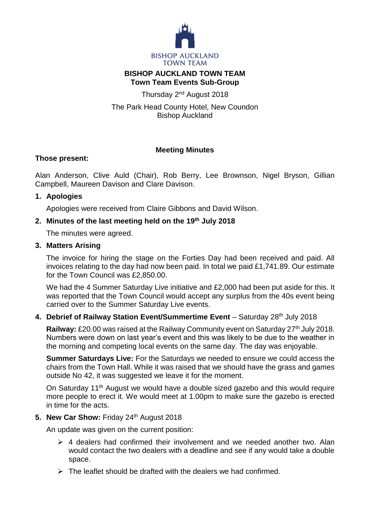

#### **BISHOP AUCKLAND TOWN TEAM Town Team Events Sub-Group**

Thursday 2<sup>nd</sup> August 2018

The Park Head County Hotel, New Coundon Bishop Auckland

# **Meeting Minutes**

## **Those present:**

Alan Anderson, Clive Auld (Chair), Rob Berry, Lee Brownson, Nigel Bryson, Gillian Campbell, Maureen Davison and Clare Davison.

#### **1. Apologies**

Apologies were received from Claire Gibbons and David Wilson.

#### **2. Minutes of the last meeting held on the 19th July 2018**

The minutes were agreed.

#### **3. Matters Arising**

The invoice for hiring the stage on the Forties Day had been received and paid. All invoices relating to the day had now been paid. In total we paid £1,741.89. Our estimate for the Town Council was £2,850.00.

We had the 4 Summer Saturday Live initiative and £2,000 had been put aside for this. It was reported that the Town Council would accept any surplus from the 40s event being carried over to the Summer Saturday Live events.

## **4. Debrief of Railway Station Event/Summertime Event** – Saturday 28th July 2018

**Railway:** £20.00 was raised at the Railway Community event on Saturday 27<sup>th</sup> July 2018. Numbers were down on last year's event and this was likely to be due to the weather in the morning and competing local events on the same day. The day was enjoyable.

**Summer Saturdays Live:** For the Saturdays we needed to ensure we could access the chairs from the Town Hall. While it was raised that we should have the grass and games outside No 42, it was suggested we leave it for the moment.

On Saturday 11<sup>th</sup> August we would have a double sized gazebo and this would require more people to erect it. We would meet at 1.00pm to make sure the gazebo is erected in time for the acts.

#### 5. **New Car Show: Friday 24th August 2018**

An update was given on the current position:

- $\triangleright$  4 dealers had confirmed their involvement and we needed another two. Alan would contact the two dealers with a deadline and see if any would take a double space.
- $\triangleright$  The leaflet should be drafted with the dealers we had confirmed.